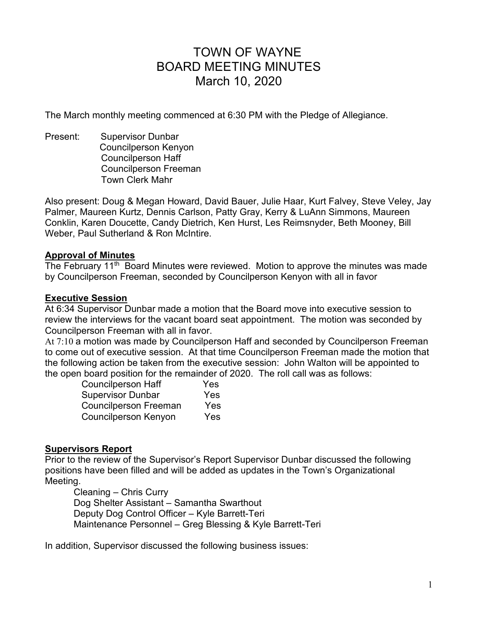# TOWN OF WAYNE BOARD MEETING MINUTES March 10, 2020

The March monthly meeting commenced at 6:30 PM with the Pledge of Allegiance.

Present: Supervisor Dunbar Councilperson Kenyon Councilperson Haff Councilperson Freeman Town Clerk Mahr

Also present: Doug & Megan Howard, David Bauer, Julie Haar, Kurt Falvey, Steve Veley, Jay Palmer, Maureen Kurtz, Dennis Carlson, Patty Gray, Kerry & LuAnn Simmons, Maureen Conklin, Karen Doucette, Candy Dietrich, Ken Hurst, Les Reimsnyder, Beth Mooney, Bill Weber, Paul Sutherland & Ron McIntire.

### **Approval of Minutes**

The February 11<sup>th</sup> Board Minutes were reviewed. Motion to approve the minutes was made by Councilperson Freeman, seconded by Councilperson Kenyon with all in favor

### **Executive Session**

At 6:34 Supervisor Dunbar made a motion that the Board move into executive session to review the interviews for the vacant board seat appointment. The motion was seconded by Councilperson Freeman with all in favor.

At 7:10 a motion was made by Councilperson Haff and seconded by Councilperson Freeman to come out of executive session. At that time Councilperson Freeman made the motion that the following action be taken from the executive session: John Walton will be appointed to the open board position for the remainder of 2020. The roll call was as follows:

| <b>Councilperson Haff</b>    | Yes        |
|------------------------------|------------|
| <b>Supervisor Dunbar</b>     | Yes        |
| <b>Councilperson Freeman</b> | <b>Yes</b> |
| Councilperson Kenyon         | Yes        |

### **Supervisors Report**

Prior to the review of the Supervisor's Report Supervisor Dunbar discussed the following positions have been filled and will be added as updates in the Town's Organizational Meeting.

Cleaning – Chris Curry

 Dog Shelter Assistant – Samantha Swarthout Deputy Dog Control Officer – Kyle Barrett-Teri Maintenance Personnel – Greg Blessing & Kyle Barrett-Teri

In addition, Supervisor discussed the following business issues: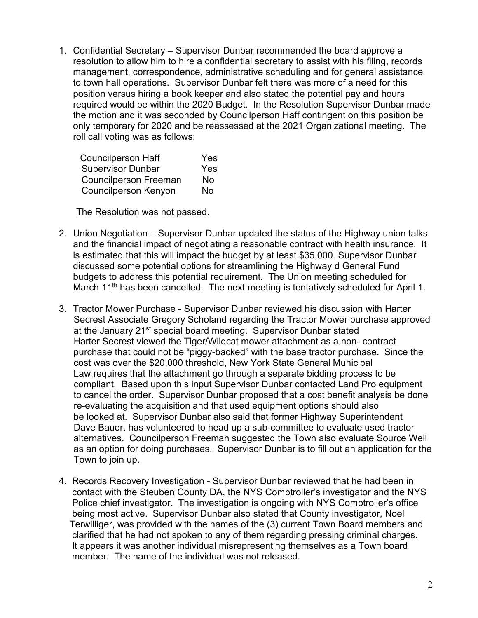1. Confidential Secretary – Supervisor Dunbar recommended the board approve a resolution to allow him to hire a confidential secretary to assist with his filing, records management, correspondence, administrative scheduling and for general assistance to town hall operations. Supervisor Dunbar felt there was more of a need for this position versus hiring a book keeper and also stated the potential pay and hours required would be within the 2020 Budget. In the Resolution Supervisor Dunbar made the motion and it was seconded by Councilperson Haff contingent on this position be only temporary for 2020 and be reassessed at the 2021 Organizational meeting. The roll call voting was as follows:

| <b>Councilperson Haff</b>    | Yes        |
|------------------------------|------------|
| <b>Supervisor Dunbar</b>     | <b>Yes</b> |
| <b>Councilperson Freeman</b> | No         |
| <b>Councilperson Kenyon</b>  | No         |

The Resolution was not passed.

- 2. Union Negotiation Supervisor Dunbar updated the status of the Highway union talks and the financial impact of negotiating a reasonable contract with health insurance. It is estimated that this will impact the budget by at least \$35,000. Supervisor Dunbar discussed some potential options for streamlining the Highway d General Fund budgets to address this potential requirement. The Union meeting scheduled for March 11<sup>th</sup> has been cancelled. The next meeting is tentatively scheduled for April 1.
- 3. Tractor Mower Purchase Supervisor Dunbar reviewed his discussion with Harter Secrest Associate Gregory Scholand regarding the Tractor Mower purchase approved at the January 21<sup>st</sup> special board meeting. Supervisor Dunbar stated Harter Secrest viewed the Tiger/Wildcat mower attachment as a non- contract purchase that could not be "piggy-backed" with the base tractor purchase. Since the cost was over the \$20,000 threshold, New York State General Municipal Law requires that the attachment go through a separate bidding process to be compliant. Based upon this input Supervisor Dunbar contacted Land Pro equipment to cancel the order. Supervisor Dunbar proposed that a cost benefit analysis be done re-evaluating the acquisition and that used equipment options should also be looked at. Supervisor Dunbar also said that former Highway Superintendent Dave Bauer, has volunteered to head up a sub-committee to evaluate used tractor alternatives. Councilperson Freeman suggested the Town also evaluate Source Well as an option for doing purchases. Supervisor Dunbar is to fill out an application for the Town to join up.
- 4. Records Recovery Investigation Supervisor Dunbar reviewed that he had been in contact with the Steuben County DA, the NYS Comptroller's investigator and the NYS Police chief investigator. The investigation is ongoing with NYS Comptroller's office being most active. Supervisor Dunbar also stated that County investigator, Noel Terwilliger, was provided with the names of the (3) current Town Board members and clarified that he had not spoken to any of them regarding pressing criminal charges. It appears it was another individual misrepresenting themselves as a Town board member. The name of the individual was not released.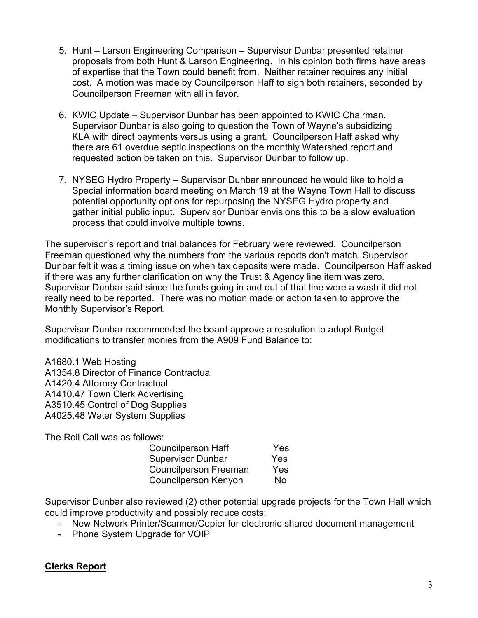- 5. Hunt Larson Engineering Comparison Supervisor Dunbar presented retainer proposals from both Hunt & Larson Engineering. In his opinion both firms have areas of expertise that the Town could benefit from. Neither retainer requires any initial cost. A motion was made by Councilperson Haff to sign both retainers, seconded by Councilperson Freeman with all in favor.
- 6. KWIC Update Supervisor Dunbar has been appointed to KWIC Chairman. Supervisor Dunbar is also going to question the Town of Wayne's subsidizing KLA with direct payments versus using a grant. Councilperson Haff asked why there are 61 overdue septic inspections on the monthly Watershed report and requested action be taken on this. Supervisor Dunbar to follow up.
- 7. NYSEG Hydro Property Supervisor Dunbar announced he would like to hold a Special information board meeting on March 19 at the Wayne Town Hall to discuss potential opportunity options for repurposing the NYSEG Hydro property and gather initial public input. Supervisor Dunbar envisions this to be a slow evaluation process that could involve multiple towns.

The supervisor's report and trial balances for February were reviewed. Councilperson Freeman questioned why the numbers from the various reports don't match. Supervisor Dunbar felt it was a timing issue on when tax deposits were made. Councilperson Haff asked if there was any further clarification on why the Trust & Agency line item was zero. Supervisor Dunbar said since the funds going in and out of that line were a wash it did not really need to be reported. There was no motion made or action taken to approve the Monthly Supervisor's Report.

Supervisor Dunbar recommended the board approve a resolution to adopt Budget modifications to transfer monies from the A909 Fund Balance to:

A1680.1 Web Hosting A1354.8 Director of Finance Contractual A1420.4 Attorney Contractual A1410.47 Town Clerk Advertising A3510.45 Control of Dog Supplies A4025.48 Water System Supplies

The Roll Call was as follows:

| <b>Councilperson Haff</b><br>Yes    |
|-------------------------------------|
| <b>Supervisor Dunbar</b><br>Yes     |
| <b>Councilperson Freeman</b><br>Yes |
| Councilperson Kenyon<br>No          |

Supervisor Dunbar also reviewed (2) other potential upgrade projects for the Town Hall which could improve productivity and possibly reduce costs:

- New Network Printer/Scanner/Copier for electronic shared document management
- Phone System Upgrade for VOIP

# **Clerks Report**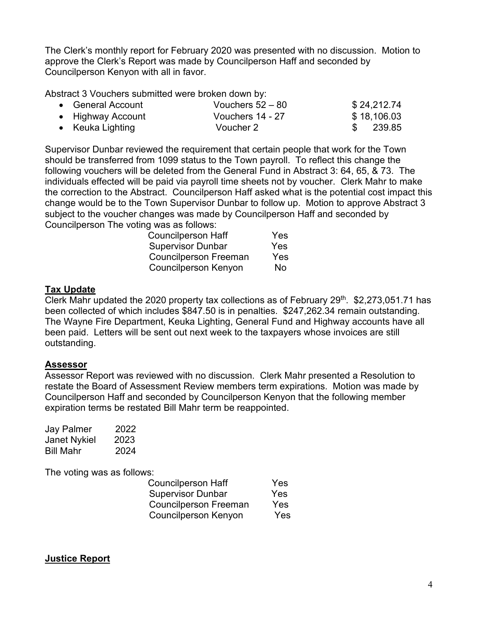The Clerk's monthly report for February 2020 was presented with no discussion. Motion to approve the Clerk's Report was made by Councilperson Haff and seconded by Councilperson Kenyon with all in favor.

Abstract 3 Vouchers submitted were broken down by:

| • General Account | Vouchers $52 - 80$ | \$24,212.74 |
|-------------------|--------------------|-------------|
| • Highway Account | Vouchers 14 - 27   | \$18,106.03 |
| • Keuka Lighting  | Voucher 2          | 239.85      |

Supervisor Dunbar reviewed the requirement that certain people that work for the Town should be transferred from 1099 status to the Town payroll. To reflect this change the following vouchers will be deleted from the General Fund in Abstract 3: 64, 65, & 73. The individuals effected will be paid via payroll time sheets not by voucher. Clerk Mahr to make the correction to the Abstract. Councilperson Haff asked what is the potential cost impact this change would be to the Town Supervisor Dunbar to follow up. Motion to approve Abstract 3 subject to the voucher changes was made by Councilperson Haff and seconded by Councilperson The voting was as follows:

| <b>Councilperson Haff</b>    | <b>Yes</b> |
|------------------------------|------------|
| <b>Supervisor Dunbar</b>     | Yes        |
| <b>Councilperson Freeman</b> | <b>Yes</b> |
| Councilperson Kenyon         | No         |

## **Tax Update**

Clerk Mahr updated the 2020 property tax collections as of February  $29<sup>th</sup>$ . \$2,273,051.71 has been collected of which includes \$847.50 is in penalties. \$247,262.34 remain outstanding. The Wayne Fire Department, Keuka Lighting, General Fund and Highway accounts have all been paid. Letters will be sent out next week to the taxpayers whose invoices are still outstanding.

### **Assessor**

Assessor Report was reviewed with no discussion. Clerk Mahr presented a Resolution to restate the Board of Assessment Review members term expirations. Motion was made by Councilperson Haff and seconded by Councilperson Kenyon that the following member expiration terms be restated Bill Mahr term be reappointed.

| <b>Jay Palmer</b>   | 2022 |
|---------------------|------|
| <b>Janet Nykiel</b> | 2023 |
| <b>Bill Mahr</b>    | 2024 |

The voting was as follows:

| <b>Councilperson Haff</b>    | Yes        |
|------------------------------|------------|
| <b>Supervisor Dunbar</b>     | Yes        |
| <b>Councilperson Freeman</b> | Yes        |
| Councilperson Kenyon         | <b>Yes</b> |

### **Justice Report**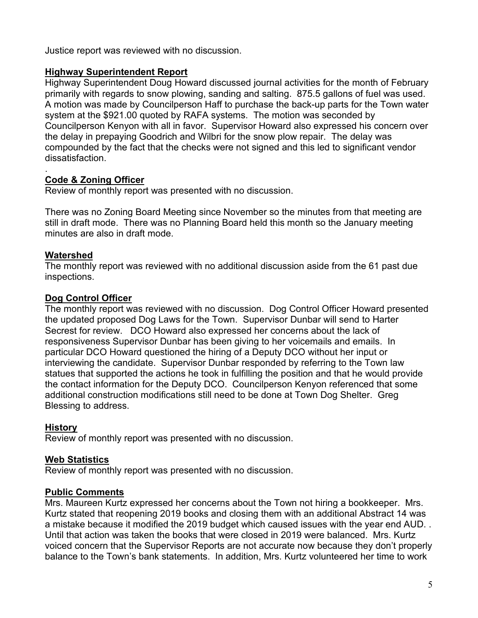Justice report was reviewed with no discussion.

### **Highway Superintendent Report**

Highway Superintendent Doug Howard discussed journal activities for the month of February primarily with regards to snow plowing, sanding and salting. 875.5 gallons of fuel was used. A motion was made by Councilperson Haff to purchase the back-up parts for the Town water system at the \$921.00 quoted by RAFA systems. The motion was seconded by Councilperson Kenyon with all in favor. Supervisor Howard also expressed his concern over the delay in prepaying Goodrich and Wilbri for the snow plow repair. The delay was compounded by the fact that the checks were not signed and this led to significant vendor dissatisfaction.

#### . **Code & Zoning Officer**

Review of monthly report was presented with no discussion.

There was no Zoning Board Meeting since November so the minutes from that meeting are still in draft mode. There was no Planning Board held this month so the January meeting minutes are also in draft mode.

### **Watershed**

The monthly report was reviewed with no additional discussion aside from the 61 past due inspections.

### **Dog Control Officer**

The monthly report was reviewed with no discussion. Dog Control Officer Howard presented the updated proposed Dog Laws for the Town. Supervisor Dunbar will send to Harter Secrest for review. DCO Howard also expressed her concerns about the lack of responsiveness Supervisor Dunbar has been giving to her voicemails and emails. In particular DCO Howard questioned the hiring of a Deputy DCO without her input or interviewing the candidate. Supervisor Dunbar responded by referring to the Town law statues that supported the actions he took in fulfilling the position and that he would provide the contact information for the Deputy DCO. Councilperson Kenyon referenced that some additional construction modifications still need to be done at Town Dog Shelter. Greg Blessing to address.

### **History**

Review of monthly report was presented with no discussion.

### **Web Statistics**

Review of monthly report was presented with no discussion.

# **Public Comments**

Mrs. Maureen Kurtz expressed her concerns about the Town not hiring a bookkeeper. Mrs. Kurtz stated that reopening 2019 books and closing them with an additional Abstract 14 was a mistake because it modified the 2019 budget which caused issues with the year end AUD. . Until that action was taken the books that were closed in 2019 were balanced. Mrs. Kurtz voiced concern that the Supervisor Reports are not accurate now because they don't properly balance to the Town's bank statements. In addition, Mrs. Kurtz volunteered her time to work